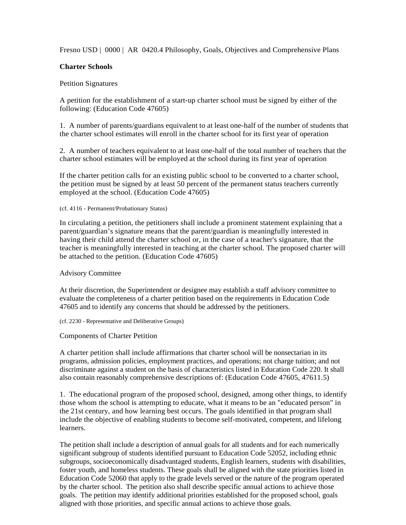Fresno USD | 0000 | AR 0420.4 Philosophy, Goals, Objectives and Comprehensive Plans

# **Charter Schools**

## Petition Signatures

A petition for the establishment of a start-up charter school must be signed by either of the following: (Education Code 47605)

1. A number of parents/guardians equivalent to at least one-half of the number of students that the charter school estimates will enroll in the charter school for its first year of operation

2. A number of teachers equivalent to at least one-half of the total number of teachers that the charter school estimates will be employed at the school during its first year of operation

If the charter petition calls for an existing public school to be converted to a charter school, the petition must be signed by at least 50 percent of the permanent status teachers currently employed at the school. (Education Code 47605)

#### (cf. 4116 - Permanent/Probationary Status)

In circulating a petition, the petitioners shall include a prominent statement explaining that a parent/guardian's signature means that the parent/guardian is meaningfully interested in having their child attend the charter school or, in the case of a teacher's signature, that the teacher is meaningfully interested in teaching at the charter school. The proposed charter will be attached to the petition. (Education Code 47605)

#### Advisory Committee

At their discretion, the Superintendent or designee may establish a staff advisory committee to evaluate the completeness of a charter petition based on the requirements in Education Code 47605 and to identify any concerns that should be addressed by the petitioners.

#### (cf. 2230 - Representative and Deliberative Groups)

## Components of Charter Petition

A charter petition shall include affirmations that charter school will be nonsectarian in its programs, admission policies, employment practices, and operations; not charge tuition; and not discriminate against a student on the basis of characteristics listed in Education Code 220. It shall also contain reasonably comprehensive descriptions of: (Education Code 47605, 47611.5)

1. The educational program of the proposed school, designed, among other things, to identify those whom the school is attempting to educate, what it means to be an "educated person" in the 21st century, and how learning best occurs. The goals identified in that program shall include the objective of enabling students to become self-motivated, competent, and lifelong learners.

The petition shall include a description of annual goals for all students and for each numerically significant subgroup of students identified pursuant to Education Code 52052, including ethnic subgroups, socioeconomically disadvantaged students, English learners, students with disabilities, foster youth, and homeless students. These goals shall be aligned with the state priorities listed in Education Code 52060 that apply to the grade levels served or the nature of the program operated by the charter school. The petition also shall describe specific annual actions to achieve those goals. The petition may identify additional priorities established for the proposed school, goals aligned with those priorities, and specific annual actions to achieve those goals.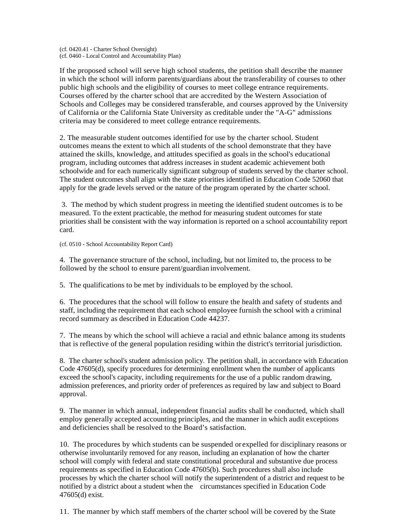(cf. 0420.41 - Charter School Oversight) (cf. 0460 - Local Control and Accountability Plan)

If the proposed school will serve high school students, the petition shall describe the manner in which the school will inform parents/guardians about the transferability of courses to other public high schools and the eligibility of courses to meet college entrance requirements. Courses offered by the charter school that are accredited by the Western Association of Schools and Colleges may be considered transferable, and courses approved by the University of California or the California State University as creditable under the "A-G" admissions criteria may be considered to meet college entrance requirements.

2. The measurable student outcomes identified for use by the charter school. Student outcomes means the extent to which all students of the school demonstrate that they have attained the skills, knowledge, and attitudes specified as goals in the school's educational program, including outcomes that address increases in student academic achievement both schoolwide and for each numerically significant subgroup of students served by the charter school. The student outcomes shall align with the state priorities identified in Education Code 52060 that apply for the grade levels served or the nature of the program operated by the charter school.

3. The method by which student progress in meeting the identified student outcomes is to be measured. To the extent practicable, the method for measuring student outcomes for state priorities shall be consistent with the way information is reported on a school accountability report card.

(cf. 0510 - School Accountability Report Card)

4. The governance structure of the school, including, but not limited to, the process to be followed by the school to ensure parent/guardian involvement.

5. The qualifications to be met by individuals to be employed by the school.

6. The procedures that the school will follow to ensure the health and safety of students and staff, including the requirement that each school employee furnish the school with a criminal record summary as described in Education Code 44237.

7. The means by which the school will achieve a racial and ethnic balance among its students that is reflective of the general population residing within the district's territorial jurisdiction.

8. The charter school's student admission policy. The petition shall, in accordance with Education Code 47605(d), specify procedures for determining enrollment when the number of applicants exceed the school's capacity, including requirements for the use of a public random drawing, admission preferences, and priority order of preferences as required by law and subject to Board approval.

9. The manner in which annual, independent financial audits shall be conducted, which shall employ generally accepted accounting principles, and the manner in which audit exceptions and deficiencies shall be resolved to the Board's satisfaction.

10. The procedures by which students can be suspended or expelled for disciplinary reasons or otherwise involuntarily removed for any reason, including an explanation of how the charter school will comply with federal and state constitutional procedural and substantive due process requirements as specified in Education Code 47605(b). Such procedures shall also include processes by which the charter school will notify the superintendent of a district and request to be notified by a district about a student when the circumstances specified in Education Code 47605(d) exist.

11. The manner by which staff members of the charter school will be covered by the State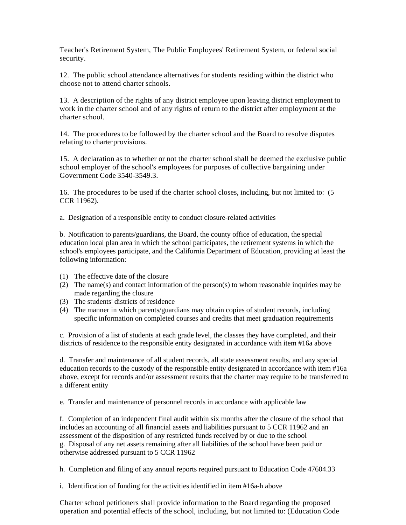Teacher's Retirement System, The Public Employees' Retirement System, or federal social security.

12. The public school attendance alternatives for students residing within the district who choose not to attend charter schools.

13. A description of the rights of any district employee upon leaving district employment to work in the charter school and of any rights of return to the district after employment at the charter school.

14. The procedures to be followed by the charter school and the Board to resolve disputes relating to charter provisions.

15. A declaration as to whether or not the charter school shall be deemed the exclusive public school employer of the school's employees for purposes of collective bargaining under Government Code 3540-3549.3.

16. The procedures to be used if the charter school closes, including, but not limited to: (5 CCR 11962).

a. Designation of a responsible entity to conduct closure-related activities

b. Notification to parents/guardians, the Board, the county office of education, the special education local plan area in which the school participates, the retirement systems in which the school's employees participate, and the California Department of Education, providing at least the following information:

- (1) The effective date of the closure
- (2) The name(s) and contact information of the person(s) to whom reasonable inquiries may be made regarding the closure
- (3) The students' districts of residence
- (4) The manner in which parents/guardians may obtain copies of student records, including specific information on completed courses and credits that meet graduation requirements

c. Provision of a list of students at each grade level, the classes they have completed, and their districts of residence to the responsible entity designated in accordance with item #16a above

d. Transfer and maintenance of all student records, all state assessment results, and any special education records to the custody of the responsible entity designated in accordance with item #16a above, except for records and/or assessment results that the charter may require to be transferred to a different entity

e. Transfer and maintenance of personnel records in accordance with applicable law

f. Completion of an independent final audit within six months after the closure of the school that includes an accounting of all financial assets and liabilities pursuant to 5 CCR 11962 and an assessment of the disposition of any restricted funds received by or due to the school g. Disposal of any net assets remaining after all liabilities of the school have been paid or otherwise addressed pursuant to 5 CCR 11962

h. Completion and filing of any annual reports required pursuant to Education Code 47604.33

i. Identification of funding for the activities identified in item #16a-h above

Charter school petitioners shall provide information to the Board regarding the proposed operation and potential effects of the school, including, but not limited to: (Education Code